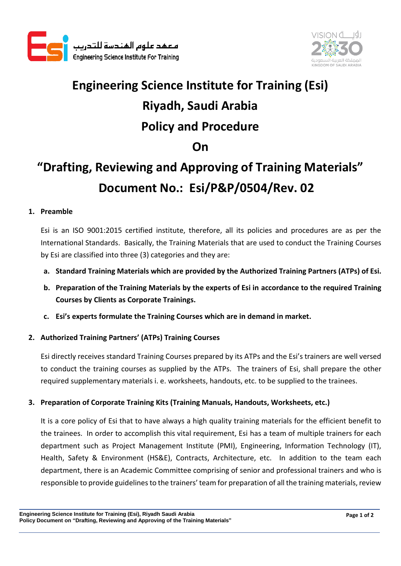



# **Engineering Science Institute for Training (Esi) Riyadh, Saudi Arabia Policy and Procedure On**

## **"Drafting, Reviewing and Approving of Training Materials" Document No.: Esi/P&P/0504/Rev. 02**

### **1. Preamble**

Esi is an ISO 9001:2015 certified institute, therefore, all its policies and procedures are as per the International Standards. Basically, the Training Materials that are used to conduct the Training Courses by Esi are classified into three (3) categories and they are:

- **a. Standard Training Materials which are provided by the Authorized Training Partners (ATPs) of Esi.**
- **b. Preparation of the Training Materials by the experts of Esi in accordance to the required Training Courses by Clients as Corporate Trainings.**
- **c. Esi's experts formulate the Training Courses which are in demand in market.**

#### **2. Authorized Training Partners' (ATPs) Training Courses**

Esi directly receives standard Training Courses prepared by its ATPs and the Esi's trainers are well versed to conduct the training courses as supplied by the ATPs. The trainers of Esi, shall prepare the other required supplementary materials i. e. worksheets, handouts, etc. to be supplied to the trainees.

#### **3. Preparation of Corporate Training Kits (Training Manuals, Handouts, Worksheets, etc.)**

It is a core policy of Esi that to have always a high quality training materials for the efficient benefit to the trainees. In order to accomplish this vital requirement, Esi has a team of multiple trainers for each department such as Project Management Institute (PMI), Engineering, Information Technology (IT), Health, Safety & Environment (HS&E), Contracts, Architecture, etc. In addition to the team each department, there is an Academic Committee comprising of senior and professional trainers and who is responsible to provide guidelines to the trainers' team for preparation of all the training materials, review